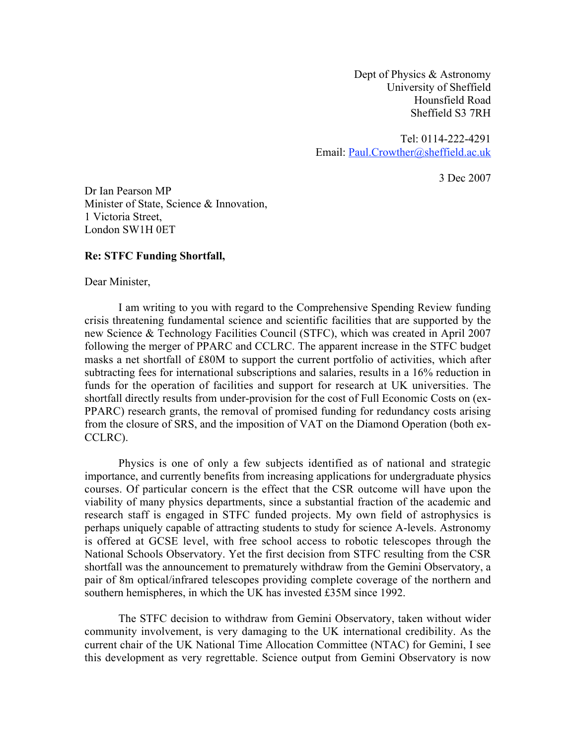Dept of Physics & Astronomy University of Sheffield Hounsfield Road Sheffield S3 7RH

Tel: 0114-222-4291 Email: Paul.Crowther@sheffield.ac.uk

3 Dec 2007

Dr Ian Pearson MP Minister of State, Science & Innovation, 1 Victoria Street, London SW1H 0ET

## **Re: STFC Funding Shortfall,**

Dear Minister,

I am writing to you with regard to the Comprehensive Spending Review funding crisis threatening fundamental science and scientific facilities that are supported by the new Science & Technology Facilities Council (STFC), which was created in April 2007 following the merger of PPARC and CCLRC. The apparent increase in the STFC budget masks a net shortfall of £80M to support the current portfolio of activities, which after subtracting fees for international subscriptions and salaries, results in a 16% reduction in funds for the operation of facilities and support for research at UK universities. The shortfall directly results from under-provision for the cost of Full Economic Costs on (ex-PPARC) research grants, the removal of promised funding for redundancy costs arising from the closure of SRS, and the imposition of VAT on the Diamond Operation (both ex-CCLRC).

Physics is one of only a few subjects identified as of national and strategic importance, and currently benefits from increasing applications for undergraduate physics courses. Of particular concern is the effect that the CSR outcome will have upon the viability of many physics departments, since a substantial fraction of the academic and research staff is engaged in STFC funded projects. My own field of astrophysics is perhaps uniquely capable of attracting students to study for science A-levels. Astronomy is offered at GCSE level, with free school access to robotic telescopes through the National Schools Observatory. Yet the first decision from STFC resulting from the CSR shortfall was the announcement to prematurely withdraw from the Gemini Observatory, a pair of 8m optical/infrared telescopes providing complete coverage of the northern and southern hemispheres, in which the UK has invested £35M since 1992.

The STFC decision to withdraw from Gemini Observatory, taken without wider community involvement, is very damaging to the UK international credibility. As the current chair of the UK National Time Allocation Committee (NTAC) for Gemini, I see this development as very regrettable. Science output from Gemini Observatory is now